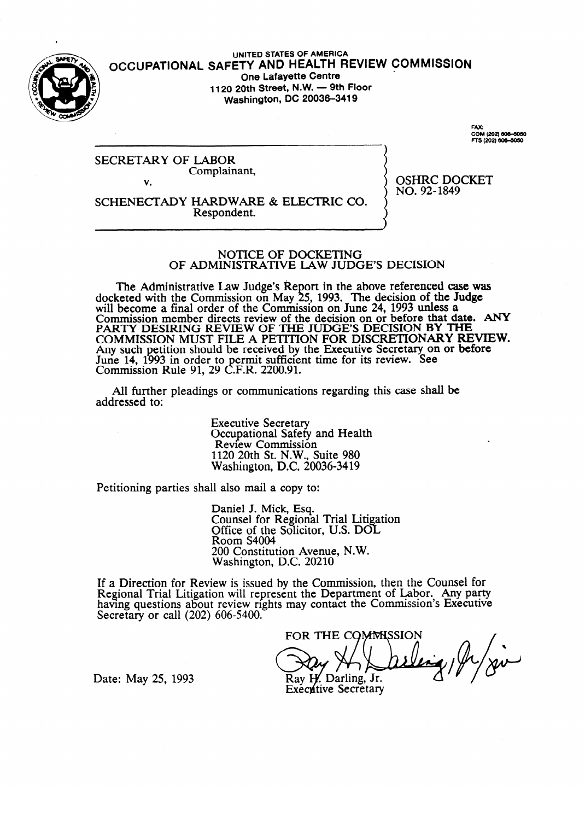

UNITED STATES OF AMERICA **OCCUPATIONAL SAFETY AND HEALTH REVIEW COMMISSION** <sup>c</sup> **One Lafayette Centre 1120 20th Street, N.\N. - 9th Floor Washington, DC 20036-3419** 

**FAX: COM (202) 6m-6oso** 

SECRETARY OF LABOR Complainant, V.

 $NO.92-1849$  $\frac{1}{2}$ 

v. SCHENECTADY HARDWARE & ELECTRIC CO. Respondent. Respondent.

### NOTICE OF DOCKETING OF ADMINISTRATIVE LAW JUDGE'S DECISION

The Administrative Law Judge's Report in the above referenced case was seted with the Commission on May  $25$ , 1993. The decision of the Judge will become a final order of the Commission on June 24, 1993 unless a Commission member directs review of the decision on or before that day<br>BA BIN DESIDING BEVIEW OF THE HUNGE'S DECISION BY TH PARTY DESIRING REVIEW OF THE JUDGE'S DECISION BY THE  $_{\odot}$  and the deview of the decision member of the date. ANY decomplexes and decomplexes of the date. And decomplexes are decomplexed in the date. AND decomplexes are COMMISSION MOST FILE A PETITION FOR DISCRETIONART RE Any such petition should be received by the Executive Secretary on or before June 14, 1993 in order to permit surficient time for its review. See<br>Commission Pula 01, 20 C E P, 2200.01 Commission Kuie 91, 29 C.F.K.  $2200.91$ .

All further pleadings or communications regarding this case shall be  $A$  further pleading or communications regarding the communications regarding the case shall be shall be shall be shall be shall be shall be shall be shall be shall be shall be shall be shall be shall be shall be shall be

> **Executive Secretary** Occupational Safety and Health<br>Review Commission  $1120$   $20$ th St NW Suite  $980$  $\frac{20}{100}$  and  $\frac{20}{100}$  compared Commission  $1120$   $10000000000$

Petitioning parties shall also mail a copy to:

Daniel J. Mick, Esq.<br>Counsel for Regional Trial Litigation Office of the Solicitor, U.S. DOL Room S4004 200 Constitution Avenue, N.W. Washington, D.C. 20210

200 Constitution Avenue, N.W. ew is issued by the Com having questions about review rights may contact the Commission's Executive Secretary or call  $(202)$  606-5400.

FOR THE COMMISSION y .<br>Av Ray H. Darling, Jr. **Executive Secretary** 

Date: May 25, 1993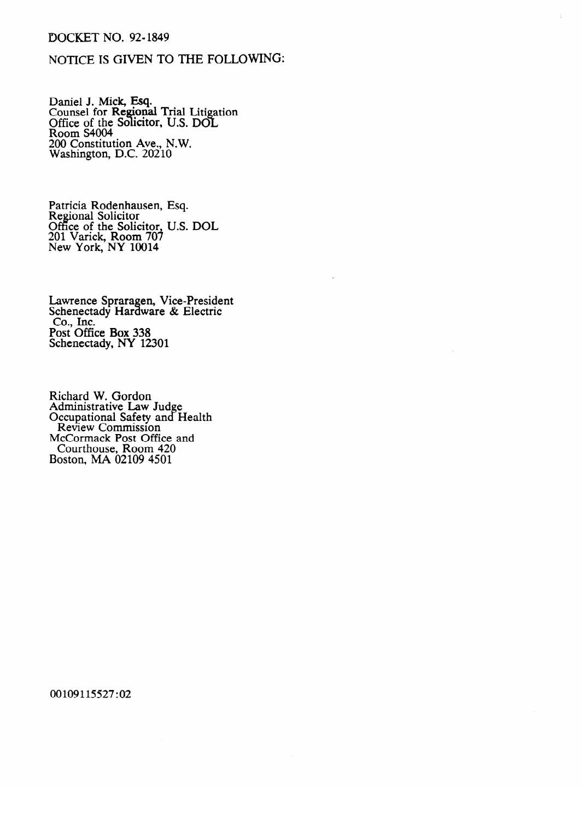### DOCKET NO. 92-1849

## NOTICE IS GIVEN TO THE FOLLOWING:

Daillel J. Mick, Esq.<br>Counsel for Regiona Counsel for Regional Trial Little<br>Office of the Solicitor IIS DO  $\overline{a}$ ation<br>I Office of the Solicitor, U.S. DOL<br>Room S4004 ROOM STOOT<br>200 Constitut  $200$  Constitution *Ave.*, N.W. Washington, D.C. 20210

Regional Solicitor Office of the Soli-201 Varick, Room 70 New York, NY 10014  $\frac{1}{2}$ 

Lawrence Spraragen, Vice-President<br>Schenectady Hardware & Electric  $\text{Co.}$  Hnc.<br> $\text{D.} \times \text{O}^{\text{cc}} \times \text{D.} \times 229$ ost Ome Schenectady,  $N Y 12$ 

Adillillistiative Law Secupational Safety and 1.<br>Review Commission McCormack Post Office and and and Reconnact Fost On<br>Courthouse, Room Boston, MA $\alpha$ 02109 4501  $\frac{1}{2000}$   $\frac{1}{2000}$   $\frac{1}{2000}$ 

00109115527:02

 $\sim$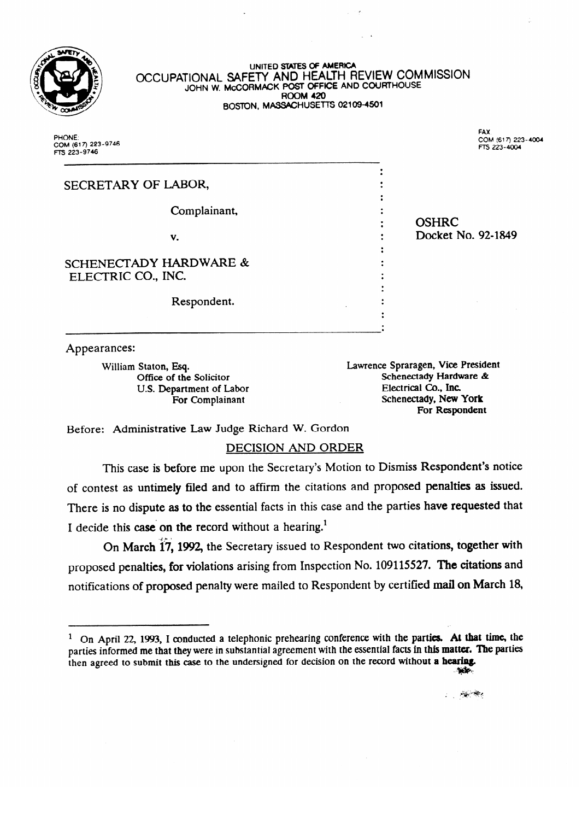

### **UNITED SIXTES OF AMERICA OCCUPATIONAL SAFETT AND HEALTH REVIEW COMMISSION DOTINE W. MCCORMACK POST OFFICE AND SOCIAL ROOM 420 BOSION, MASSACHUSETTS 02% 09-4501**

PHONE COM (617) 223-9746 FTS 223-9746

FAX. COM (617) 223-4004 FTS 223-4004

| SECRETARY OF LABOR,                                     |                    |
|---------------------------------------------------------|--------------------|
|                                                         |                    |
| Complainant,                                            |                    |
|                                                         | <b>OSHRC</b>       |
| v.                                                      | Docket No. 92-1849 |
| <b>SCHENECTADY HARDWARE &amp;</b><br>ELECTRIC CO., INC. |                    |
| Respondent.                                             |                    |
|                                                         |                    |

Appearances:

William Staton, Esq.

Lawrence Spraragen, Vice President Office of the Solicitor<br>
U.S. Department of Labor<br>
Electrical Co., Inc.<br>
Electrical Co., Inc. For Complainant **Exercise Schenectady, New York** For Complainant of Labor Electrical Complaint Complaint Complete Complete Complete Complete Co., Inc. Despite For Complainant Schenectady, **New York** 

l .

Before: Administrative Law Judge Richard W. Gordon

# **DECISION AND ORDER**

This case is before me upon the Secretary's Motion to Dismiss Respondent's notice of contest as untimely filed and to affirm the citations and proposed penalties as issued. There is no dispute as to the essential facts in this case and the parties have requested that I decide this case on the record without a hearing.<sup>1</sup>

. On March  $17$ ,  $1992$ , the Secretary issued to proposed penalties, for violations arising from Inspection No. 109115527. The citations and notifications of proposed penalty were mailed to Respondent by certified mail on March 18,

parties informed me that they were in substantial agreement with the essential facts **in** this **matter. The** parties

then agreed to submit this case to the undersigned for decision on the record without **a hedng. .:@&** 

 $1$  On April 22, 1993, I conducted a telephonic prehearing conference with the parties. At that time, the parties informed me that they were in substantial agreement with the essential facts in this matter. The parties then agreed to submit this case to the undersigned for decision on the record without a hearing.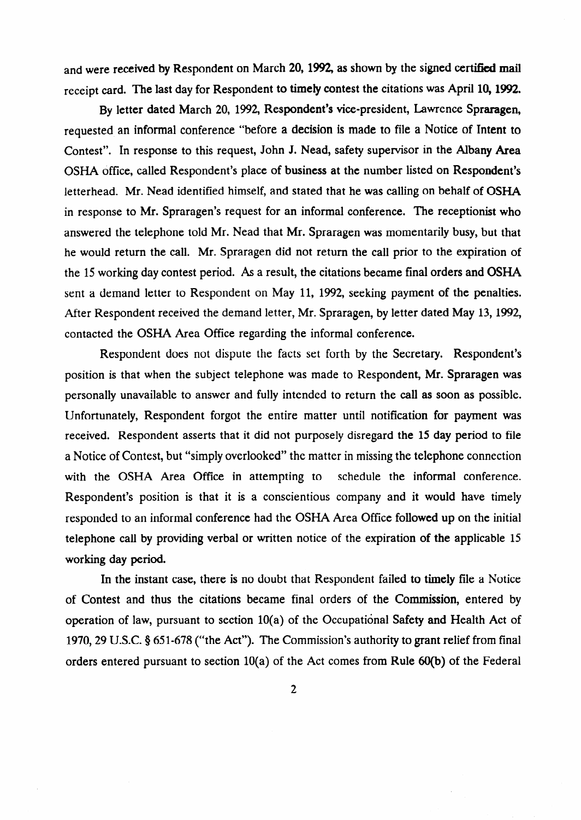and were received by Respondent on March 20, 1992, as shown by the signed certified mail receipt card. The last day for Respondent to timely contest the citations was April 10,1992.

By letter dated March 20, 1992, Respondent's vice-president, Lawrence Spraragen, requested an informal conference "before a decision is made to file a Notice of Intent to Contest". In response to this request, John J. Nead, safety supervisor in the Albany Area OSHA office, called Respondent's place of business at the number listed on Respondent's letterhead. Mr. Nead identified himself, and stated that he was calling on behalf of OSHA in response to Mr. Spraragen's request for an informal conference. The receptionist who answered the telephone told Mr. Nead that Mr. Spraragen was momentarily busy, but that he would return the call. Mr. Spraragen did not return the call prior to the expiration of the 15 working day contest period. As a result, the citations became final orders and OSHA sent a demand letter to Respondent on May 11, 1992, seeking payment of the penalties. After Respondent received the demand letter, Mr. Spraragen, by letter dated May 13,1992, contacted the OSHA Area Office regarding the informal conference.

Respondent does not dispute the facts set forth by the Secretary. Respondent's position is that when the subject telephone was made to Respondent, Mr. Spraragen was personally unavailable to answer and fully intended to return the call as soon as possible. Unfortunately, Respondent forgot the entire matter until notification for payment was received. Respondent asserts that it did not purposely disregard the 15 day period to file a Notice of Contest, but "simply overlooked" the matter in missing the telephone connection with the OSHA Area Office in attempting to schedule the informal conference. Respondent's position is that it is a conscientious company and it would have timely responded to an informal conference had the OSHA Area Office followed up on the initial telephone call by providing verbal or written notice of the expiration of the applicable 15 working day period.

In the instant case, there is no doubt that Respondent failed to timely file a Notice of Contest and thus the citations became final orders of the Commission, entered by operation of law, pursuant to section 10(a) of the Occupational Safety and Health Act of 1970,29 U.S.C. 8 651-678 ("the Act"). The Commission's authority to grant relief from final orders entered pursuant to section 10(a) of the Act comes from Rule 60(b) of the Federal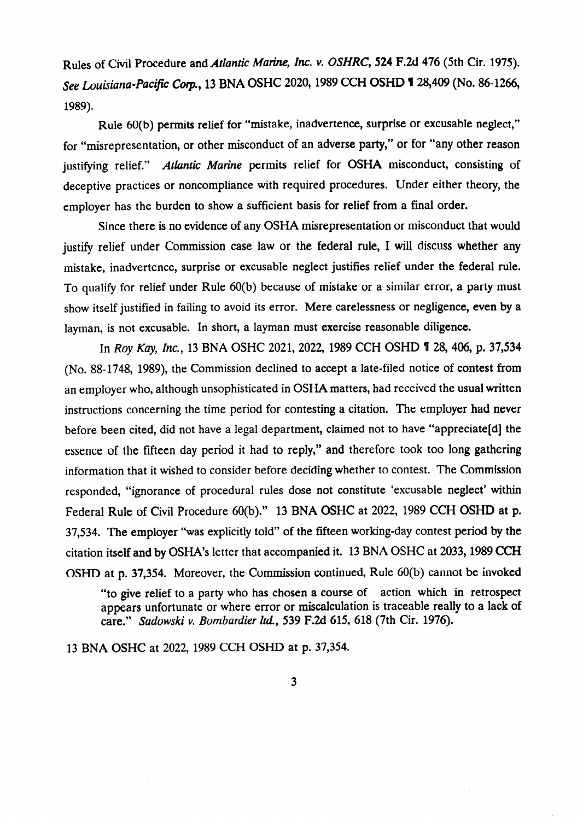Rules of Civil Procedure and *Atlantic Marine, Inc. v. OSHRC*, 524 F.2d 476 (5th Cir. 1975). See Louisiana-Pacific Corp., 13 BNA OSHC 2020, 1989 CCH OSHD 1 28,409 (No. 86-1266, 1989).

Rule 60(b) permits relief for "mistake, inadvertence, surprise or excusable neglect," for "misrepresentation, or other misconduct of an adverse party," or for "any other reason justifying relief." *Atlantic Marine* permits relief for OSHA misconduct, consisting of deceptive practices or noncompliance with required procedures. Under either theory, the employer has the burden to show a sufficient basis for relief from a final order.

Since there is no evidence of any OSHA misrepresentation or misconduct that would justify relief under Commission case law or the federal rule, I will discuss whether any mistake, inadvertence, surprise or excusable neglect justifies relief under the federal rule. To qualify for relief under Rule 60(b) because of mistake or a similar error, a party must show itself justified in failing to avoid its error. Mere carelessness or negligence, even by a layman, is not excusable. In short, a layman must exercise reasonable diligence.

In Roy Kay, *Inc.*, 13 BNA OSHC 2021, 2022, 1989 CCH OSHD 1 28, 406, p. 37,534 (No. 88-1748, 1989), the Commission declined to accept a late-filed notice of contest from an employer who, although unsophisticated in OSHA matters, had received the usual written instructions concerning the time period for contesting a citation. The employer had never before been cited, did not have a legal department, claimed not to have "appreciate[d] the essence of the fifteen day period it had to reply," and therefore took too long gathering information that it wished to consider before deciding whether to contest. The Commission responded, "ignorance of procedural rules dose not constitute 'excusable neglect' within Federal Rule of Civil Procedure 60(b)." 13 BNA OSHC at 2022, 1989 CCH OSHD at p. 37,534. The employer "was explicitly told" of the fifteen working-day contest period by the citation itself and by OSHA's letter that accompanied it. 13 BNA OSHC at 2033,1989 CCH OSHD at p. 37,354. Moreover, the Commission continued, Rule 60(b) cannot be invoked

"to give relief to a party who has chosen a course of action which in retrospect appears unfortunate or where error or miscalculation is traceable really to a lack of care." *Sadowski v. Bombardier ltd.,* 539 F.2d 615, 618 (7th Cir. 1976).

13 BNA OSHC at 2022, 1989 CCH OSHD at p. 37,354.